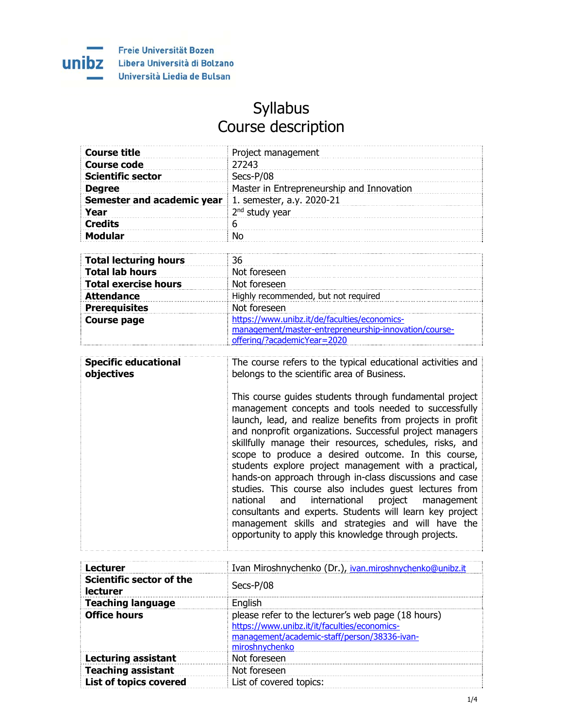

## Syllabus Course description

| <b>Course title</b>               | Project management                                                                                               |
|-----------------------------------|------------------------------------------------------------------------------------------------------------------|
| <b>Course code</b>                | 27243                                                                                                            |
| <b>Scientific sector</b>          | Secs-P/08                                                                                                        |
| <b>Degree</b>                     | Master in Entrepreneurship and Innovation                                                                        |
| <b>Semester and academic year</b> | 1. semester, a.y. 2020-21                                                                                        |
| Year                              | 2 <sup>nd</sup> study year                                                                                       |
| <b>Credits</b>                    | 6                                                                                                                |
| <b>Modular</b>                    | No                                                                                                               |
|                                   |                                                                                                                  |
| <b>Total lecturing hours</b>      | 36                                                                                                               |
| <b>Total lab hours</b>            | Not foreseen                                                                                                     |
| <b>Total exercise hours</b>       | Not foreseen                                                                                                     |
| <b>Attendance</b>                 | Highly recommended, but not required                                                                             |
| <b>Prerequisites</b>              | Not foreseen                                                                                                     |
| <b>Course page</b>                | https://www.unibz.it/de/faculties/economics-                                                                     |
|                                   | management/master-entrepreneurship-innovation/course-                                                            |
|                                   | offering/?academicYear=2020                                                                                      |
|                                   |                                                                                                                  |
| <b>Specific educational</b>       | The course refers to the typical educational activities and                                                      |
| objectives                        | belongs to the scientific area of Business.                                                                      |
|                                   |                                                                                                                  |
|                                   | This course guides students through fundamental project                                                          |
|                                   | management concepts and tools needed to successfully<br>launch load and roalize benefite from projects in profit |

launch, lead, and realize benefits from projects in profit and nonprofit organizations. Successful project managers skillfully manage their resources, schedules, risks, and scope to produce a desired outcome. In this course, students explore project management with a practical, hands-on approach through in-class discussions and case studies. This course also includes guest lectures from national and international project management consultants and experts. Students will learn key project management skills and strategies and will have the opportunity to apply this knowledge through projects.

| <b>Lecturer</b>                             | Ivan Miroshnychenko (Dr.), ivan.miroshnychenko@unibz.it                                                                                                              |
|---------------------------------------------|----------------------------------------------------------------------------------------------------------------------------------------------------------------------|
| Scientific sector of the<br><b>lecturer</b> | Secs-P/08                                                                                                                                                            |
| <b>Teaching language</b>                    | English                                                                                                                                                              |
| <b>Office hours</b>                         | please refer to the lecturer's web page (18 hours)<br>https://www.unibz.it/it/faculties/economics-<br>management/academic-staff/person/38336-ivan-<br>miroshnychenko |
| <b>Lecturing assistant</b>                  | Not foreseen                                                                                                                                                         |
| <b>Teaching assistant</b>                   | Not foreseen                                                                                                                                                         |
| <b>List of topics covered</b>               | List of covered topics:                                                                                                                                              |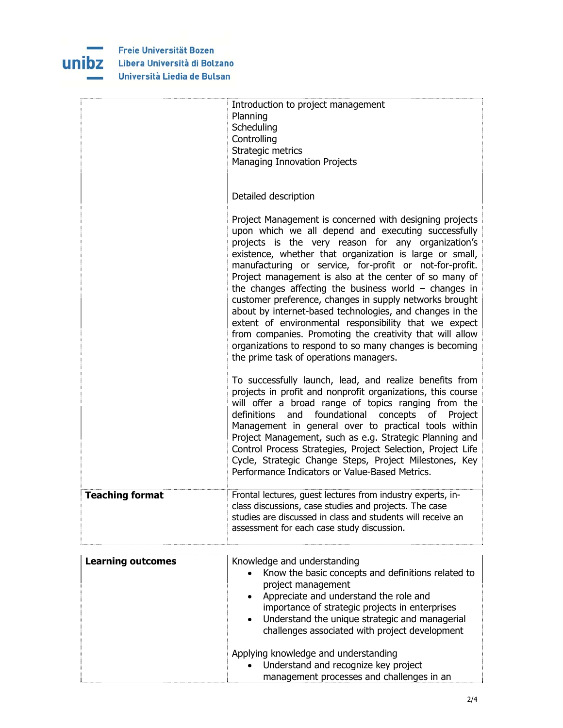

|                        | Introduction to project management<br>Planning<br>Scheduling<br>Controlling<br>Strategic metrics<br>Managing Innovation Projects                                                                                                                                                                                                                                                                                                                                                                                                                                                                                                                                                                                                                                 |
|------------------------|------------------------------------------------------------------------------------------------------------------------------------------------------------------------------------------------------------------------------------------------------------------------------------------------------------------------------------------------------------------------------------------------------------------------------------------------------------------------------------------------------------------------------------------------------------------------------------------------------------------------------------------------------------------------------------------------------------------------------------------------------------------|
|                        | Detailed description                                                                                                                                                                                                                                                                                                                                                                                                                                                                                                                                                                                                                                                                                                                                             |
|                        | Project Management is concerned with designing projects<br>upon which we all depend and executing successfully<br>projects is the very reason for any organization's<br>existence, whether that organization is large or small,<br>manufacturing or service, for-profit or not-for-profit.<br>Project management is also at the center of so many of<br>the changes affecting the business world $-$ changes in<br>customer preference, changes in supply networks brought<br>about by internet-based technologies, and changes in the<br>extent of environmental responsibility that we expect<br>from companies. Promoting the creativity that will allow<br>organizations to respond to so many changes is becoming<br>the prime task of operations managers. |
|                        | To successfully launch, lead, and realize benefits from<br>projects in profit and nonprofit organizations, this course<br>will offer a broad range of topics ranging from the<br>foundational<br>definitions<br>concepts<br>and<br>of<br>Project<br>Management in general over to practical tools within<br>Project Management, such as e.g. Strategic Planning and<br>Control Process Strategies, Project Selection, Project Life<br>Cycle, Strategic Change Steps, Project Milestones, Key<br>Performance Indicators or Value-Based Metrics.                                                                                                                                                                                                                   |
| <b>Teaching format</b> | Frontal lectures, guest lectures from industry experts, in-<br>class discussions, case studies and projects. The case<br>studies are discussed in class and students will receive an<br>assessment for each case study discussion.                                                                                                                                                                                                                                                                                                                                                                                                                                                                                                                               |

| <b>Learning outcomes</b> | Knowledge and understanding<br>Know the basic concepts and definitions related to<br>$\bullet$<br>project management<br>Appreciate and understand the role and<br>$\bullet$<br>importance of strategic projects in enterprises<br>• Understand the unique strategic and managerial<br>challenges associated with project development |
|--------------------------|--------------------------------------------------------------------------------------------------------------------------------------------------------------------------------------------------------------------------------------------------------------------------------------------------------------------------------------|
|                          | Applying knowledge and understanding<br>• Understand and recognize key project<br>management processes and challenges in an                                                                                                                                                                                                          |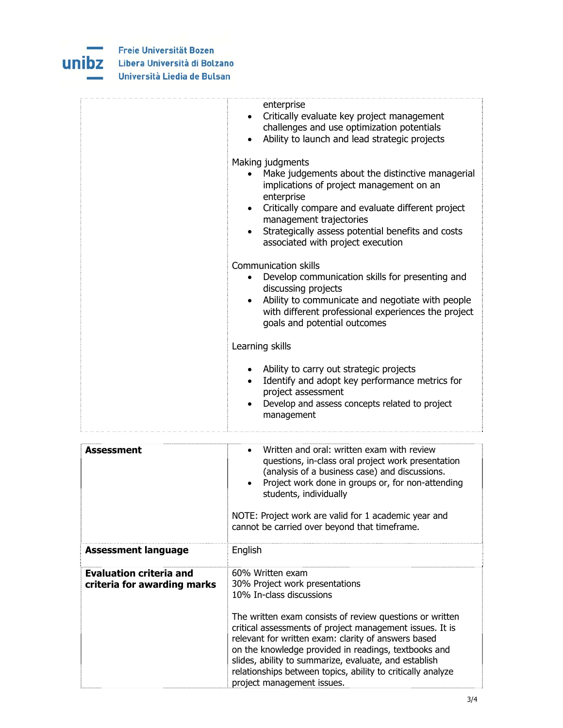

| enterprise<br>Critically evaluate key project management<br>$\bullet$<br>challenges and use optimization potentials<br>Ability to launch and lead strategic projects<br>$\bullet$                                                                                                                                     |
|-----------------------------------------------------------------------------------------------------------------------------------------------------------------------------------------------------------------------------------------------------------------------------------------------------------------------|
| Making judgments<br>Make judgements about the distinctive managerial<br>implications of project management on an<br>enterprise<br>Critically compare and evaluate different project<br>$\bullet$<br>management trajectories<br>Strategically assess potential benefits and costs<br>associated with project execution |
| Communication skills<br>Develop communication skills for presenting and<br>discussing projects<br>Ability to communicate and negotiate with people<br>with different professional experiences the project<br>goals and potential outcomes                                                                             |
| Learning skills                                                                                                                                                                                                                                                                                                       |
| Ability to carry out strategic projects<br>Identify and adopt key performance metrics for<br>$\bullet$<br>project assessment<br>Develop and assess concepts related to project<br>$\bullet$<br>management                                                                                                             |

| <b>Assessment</b>                                             | Written and oral: written exam with review<br>questions, in-class oral project work presentation<br>(analysis of a business case) and discussions.<br>Project work done in groups or, for non-attending<br>students, individually<br>NOTE: Project work are valid for 1 academic year and<br>cannot be carried over beyond that timeframe.                                                                                                                                  |
|---------------------------------------------------------------|-----------------------------------------------------------------------------------------------------------------------------------------------------------------------------------------------------------------------------------------------------------------------------------------------------------------------------------------------------------------------------------------------------------------------------------------------------------------------------|
| <b>Assessment language</b>                                    | English                                                                                                                                                                                                                                                                                                                                                                                                                                                                     |
| <b>Evaluation criteria and</b><br>criteria for awarding marks | 60% Written exam<br>30% Project work presentations<br>10% In-class discussions<br>The written exam consists of review questions or written<br>critical assessments of project management issues. It is<br>relevant for written exam: clarity of answers based<br>on the knowledge provided in readings, textbooks and<br>slides, ability to summarize, evaluate, and establish<br>relationships between topics, ability to critically analyze<br>project management issues. |